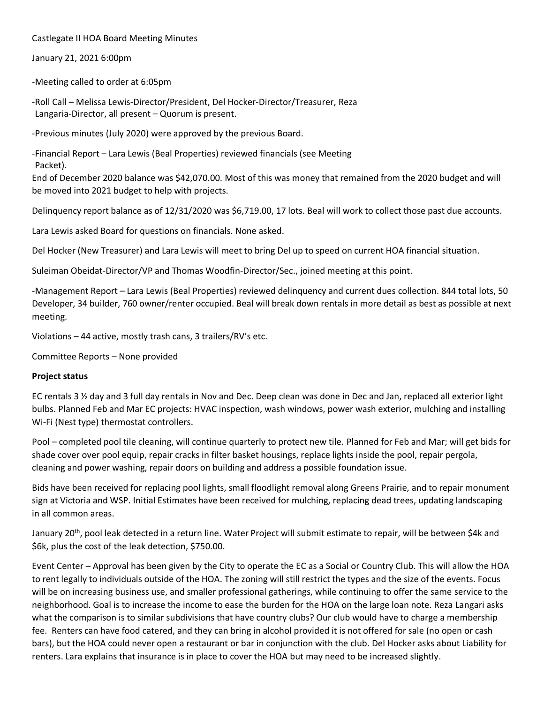Castlegate II HOA Board Meeting Minutes

January 21, 2021 6:00pm

-Meeting called to order at 6:05pm

-Roll Call – Melissa Lewis-Director/President, Del Hocker-Director/Treasurer, Reza Langaria-Director, all present – Quorum is present.

-Previous minutes (July 2020) were approved by the previous Board.

-Financial Report – Lara Lewis (Beal Properties) reviewed financials (see Meeting Packet).

End of December 2020 balance was \$42,070.00. Most of this was money that remained from the 2020 budget and will be moved into 2021 budget to help with projects.

Delinquency report balance as of 12/31/2020 was \$6,719.00, 17 lots. Beal will work to collect those past due accounts.

Lara Lewis asked Board for questions on financials. None asked.

Del Hocker (New Treasurer) and Lara Lewis will meet to bring Del up to speed on current HOA financial situation.

Suleiman Obeidat-Director/VP and Thomas Woodfin-Director/Sec., joined meeting at this point.

-Management Report – Lara Lewis (Beal Properties) reviewed delinquency and current dues collection. 844 total lots, 50 Developer, 34 builder, 760 owner/renter occupied. Beal will break down rentals in more detail as best as possible at next meeting.

Violations – 44 active, mostly trash cans, 3 trailers/RV's etc.

Committee Reports – None provided

## **Project status**

EC rentals 3 ½ day and 3 full day rentals in Nov and Dec. Deep clean was done in Dec and Jan, replaced all exterior light bulbs. Planned Feb and Mar EC projects: HVAC inspection, wash windows, power wash exterior, mulching and installing Wi-Fi (Nest type) thermostat controllers.

Pool – completed pool tile cleaning, will continue quarterly to protect new tile. Planned for Feb and Mar; will get bids for shade cover over pool equip, repair cracks in filter basket housings, replace lights inside the pool, repair pergola, cleaning and power washing, repair doors on building and address a possible foundation issue.

Bids have been received for replacing pool lights, small floodlight removal along Greens Prairie, and to repair monument sign at Victoria and WSP. Initial Estimates have been received for mulching, replacing dead trees, updating landscaping in all common areas.

January 20<sup>th</sup>, pool leak detected in a return line. Water Project will submit estimate to repair, will be between \$4k and \$6k, plus the cost of the leak detection, \$750.00.

Event Center – Approval has been given by the City to operate the EC as a Social or Country Club. This will allow the HOA to rent legally to individuals outside of the HOA. The zoning will still restrict the types and the size of the events. Focus will be on increasing business use, and smaller professional gatherings, while continuing to offer the same service to the neighborhood. Goal is to increase the income to ease the burden for the HOA on the large loan note. Reza Langari asks what the comparison is to similar subdivisions that have country clubs? Our club would have to charge a membership fee. Renters can have food catered, and they can bring in alcohol provided it is not offered for sale (no open or cash bars), but the HOA could never open a restaurant or bar in conjunction with the club. Del Hocker asks about Liability for renters. Lara explains that insurance is in place to cover the HOA but may need to be increased slightly.